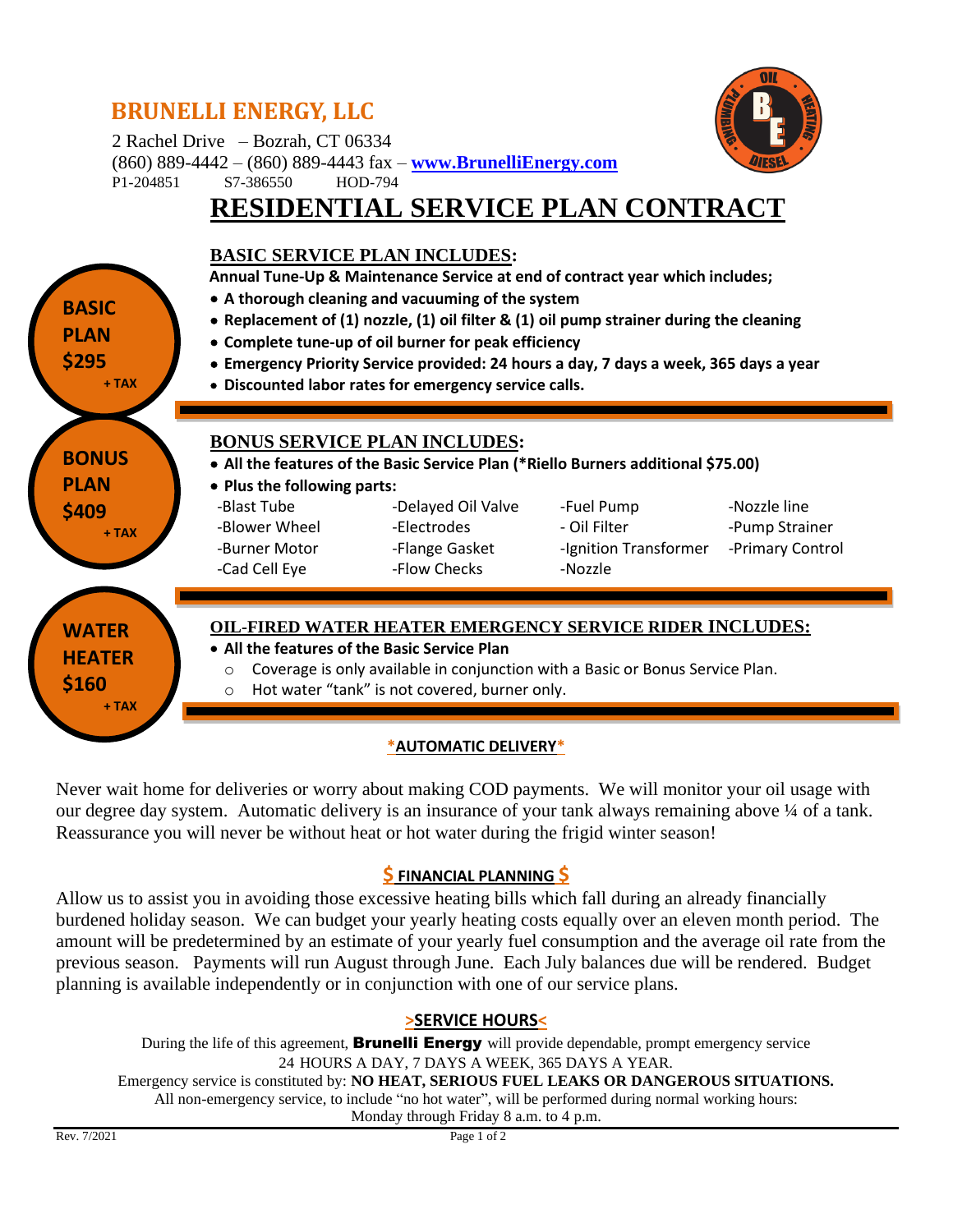## **BRUNELLI ENERGY, LLC**



2 Rachel Drive – Bozrah, CT 06334

(860) 889-4442 – (860) 889-4443 fax – **[www.BrunelliEnergy.com](http://www.brunellienergy.com/)** P1-204851 S7-386550 HOD-794

# **RESIDENTIAL SERVICE PLAN CONTRACT**



Never wait home for deliveries or worry about making COD payments. We will monitor your oil usage with our degree day system. Automatic delivery is an insurance of your tank always remaining above ¼ of a tank. Reassurance you will never be without heat or hot water during the frigid winter season!

### **\$ FINANCIAL PLANNING \$**

Allow us to assist you in avoiding those excessive heating bills which fall during an already financially burdened holiday season. We can budget your yearly heating costs equally over an eleven month period. The amount will be predetermined by an estimate of your yearly fuel consumption and the average oil rate from the previous season. Payments will run August through June. Each July balances due will be rendered. Budget planning is available independently or in conjunction with one of our service plans.

#### **>SERVICE HOURS<**

During the life of this agreement, **Brunelli Energy** will provide dependable, prompt emergency service 24 HOURS A DAY, 7 DAYS A WEEK, 365 DAYS A YEAR. Emergency service is constituted by: **NO HEAT, SERIOUS FUEL LEAKS OR DANGEROUS SITUATIONS.** All non-emergency service, to include "no hot water", will be performed during normal working hours: Monday through Friday 8 a.m. to 4 p.m.